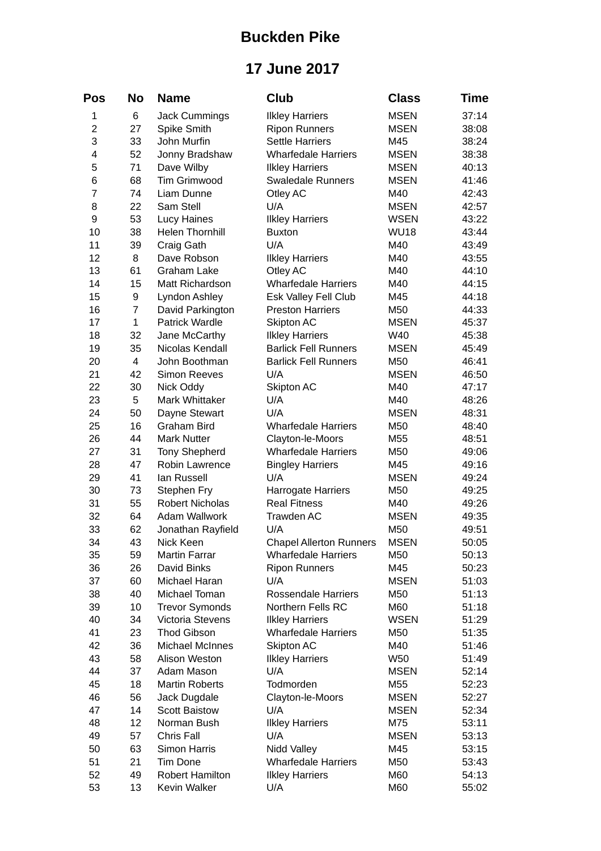## **Buckden Pike**

## **17 June 2017**

| Pos            | No             | <b>Name</b>            | <b>Club</b>                    | <b>Class</b> | <b>Time</b> |
|----------------|----------------|------------------------|--------------------------------|--------------|-------------|
| 1              | 6              | <b>Jack Cummings</b>   | <b>Ilkley Harriers</b>         | <b>MSEN</b>  | 37:14       |
| $\overline{c}$ | 27             | Spike Smith            | <b>Ripon Runners</b>           | <b>MSEN</b>  | 38:08       |
| 3              | 33             | John Murfin            | <b>Settle Harriers</b>         | M45          | 38:24       |
| 4              | 52             | Jonny Bradshaw         | <b>Wharfedale Harriers</b>     | <b>MSEN</b>  | 38:38       |
| 5              | 71             | Dave Wilby             | <b>Ilkley Harriers</b>         | <b>MSEN</b>  | 40:13       |
| 6              | 68             | Tim Grimwood           | <b>Swaledale Runners</b>       | <b>MSEN</b>  | 41:46       |
| $\overline{7}$ | 74             | Liam Dunne             | Otley AC                       | M40          | 42:43       |
| 8              | 22             | Sam Stell              | U/A                            | <b>MSEN</b>  | 42:57       |
| 9              | 53             | <b>Lucy Haines</b>     | <b>Ilkley Harriers</b>         | <b>WSEN</b>  | 43:22       |
| 10             | 38             | <b>Helen Thornhill</b> | <b>Buxton</b>                  | <b>WU18</b>  | 43:44       |
| 11             | 39             | Craig Gath             | U/A                            | M40          | 43:49       |
| 12             | 8              | Dave Robson            | <b>Ilkley Harriers</b>         | M40          | 43:55       |
| 13             | 61             | <b>Graham Lake</b>     | Otley AC                       | M40          | 44:10       |
| 14             | 15             | Matt Richardson        | <b>Wharfedale Harriers</b>     | M40          | 44:15       |
| 15             | 9              | Lyndon Ashley          | Esk Valley Fell Club           | M45          | 44:18       |
| 16             | $\overline{7}$ | David Parkington       | <b>Preston Harriers</b>        | M50          | 44:33       |
| 17             | $\mathbf{1}$   | <b>Patrick Wardle</b>  | Skipton AC                     | <b>MSEN</b>  | 45:37       |
| 18             | 32             | Jane McCarthy          | <b>Ilkley Harriers</b>         | W40          | 45:38       |
| 19             | 35             | Nicolas Kendall        | <b>Barlick Fell Runners</b>    | <b>MSEN</b>  | 45:49       |
| 20             | 4              | John Boothman          | <b>Barlick Fell Runners</b>    | M50          | 46:41       |
| 21             | 42             | <b>Simon Reeves</b>    | U/A                            | <b>MSEN</b>  | 46:50       |
| 22             | 30             | Nick Oddy              | Skipton AC                     | M40          | 47:17       |
| 23             | 5              | Mark Whittaker         | U/A                            | M40          | 48:26       |
| 24             | 50             | Dayne Stewart          | U/A                            | <b>MSEN</b>  | 48:31       |
| 25             | 16             | <b>Graham Bird</b>     | <b>Wharfedale Harriers</b>     | M50          | 48:40       |
| 26             | 44             | <b>Mark Nutter</b>     | Clayton-le-Moors               | M55          | 48:51       |
| 27             | 31             | <b>Tony Shepherd</b>   | <b>Wharfedale Harriers</b>     | M50          | 49:06       |
| 28             | 47             | Robin Lawrence         | <b>Bingley Harriers</b>        | M45          | 49:16       |
| 29             | 41             | lan Russell            | U/A                            | <b>MSEN</b>  | 49:24       |
| 30             | 73             | Stephen Fry            | <b>Harrogate Harriers</b>      | M50          | 49:25       |
| 31             | 55             | <b>Robert Nicholas</b> | <b>Real Fitness</b>            | M40          | 49:26       |
| 32             | 64             | Adam Wallwork          | Trawden AC                     | <b>MSEN</b>  | 49:35       |
| 33             | 62             | Jonathan Rayfield      | U/A                            | M50          | 49:51       |
| 34             | 43             | Nick Keen              | <b>Chapel Allerton Runners</b> | <b>MSEN</b>  | 50:05       |
| 35             | 59             | <b>Martin Farrar</b>   | <b>Wharfedale Harriers</b>     | M50          | 50:13       |
| 36             | 26             | David Binks            | <b>Ripon Runners</b>           | M45          | 50:23       |
| 37             | 60             | Michael Haran          | U/A                            | <b>MSEN</b>  | 51:03       |
| 38             | 40             | Michael Toman          | Rossendale Harriers            | M50          | 51:13       |
| 39             | 10             | <b>Trevor Symonds</b>  | Northern Fells RC              | M60          | 51:18       |
| 40             | 34             | Victoria Stevens       | <b>Ilkley Harriers</b>         | <b>WSEN</b>  | 51:29       |
| 41             | 23             | <b>Thod Gibson</b>     | <b>Wharfedale Harriers</b>     | M50          | 51:35       |
| 42             | 36             | Michael McInnes        | Skipton AC                     | M40          | 51:46       |
| 43             | 58             | Alison Weston          | <b>Ilkley Harriers</b>         | W50          | 51:49       |
| 44             | 37             | Adam Mason             | U/A                            | <b>MSEN</b>  | 52:14       |
| 45             | 18             | <b>Martin Roberts</b>  | Todmorden                      | M55          | 52:23       |
| 46             | 56             | Jack Dugdale           | Clayton-le-Moors               | <b>MSEN</b>  | 52:27       |
| 47             | 14             | <b>Scott Baistow</b>   | U/A                            | <b>MSEN</b>  | 52:34       |
| 48             | 12             | Norman Bush            | <b>Ilkley Harriers</b>         | M75          | 53:11       |
| 49             | 57             | Chris Fall             | U/A                            | <b>MSEN</b>  | 53:13       |
| 50             | 63             | <b>Simon Harris</b>    | Nidd Valley                    | M45          | 53:15       |
| 51             | 21             | Tim Done               | <b>Wharfedale Harriers</b>     | M50          | 53:43       |
| 52             | 49             | <b>Robert Hamilton</b> | <b>Ilkley Harriers</b>         | M60          | 54:13       |
| 53             | 13             | Kevin Walker           | U/A                            | M60          | 55:02       |
|                |                |                        |                                |              |             |